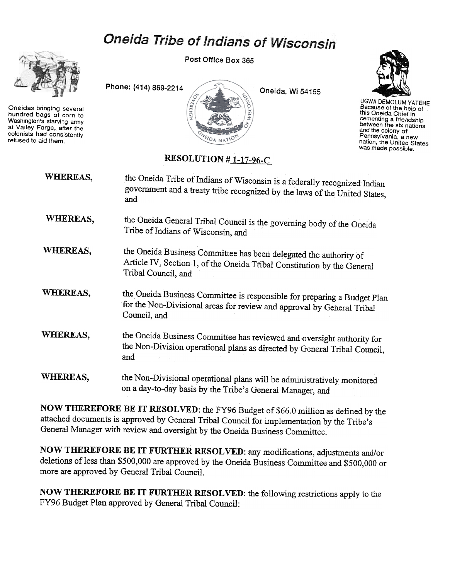## Oneida Tribe of Indians of Wisconsin



Oneidas bringing several hundred bags of corn to Washington's starving army at Valley Forge, after the colonists had consistently refused to aid them.

Post Office Box 365





UGWA DEMOLUM YATEHE Because of the help of this Oneida Chief in this Orienta Onion...<br>cementing a friendship between the six nations and the colony of Pennsylvania. a new nation. the United States was made possible.

## RESOLUTION  $#1-17-96-C$

| WHEREAS, | the Oneida Tribe of Indians of Wisconsin is a federally recognized Indian<br>government and a treaty tribe recognized by the laws of the United States,<br>and      |
|----------|---------------------------------------------------------------------------------------------------------------------------------------------------------------------|
| WHEREAS, | the Oneida General Tribal Council is the governing body of the Oneida<br>Tribe of Indians of Wisconsin, and                                                         |
| WHEREAS, | the Oneida Business Committee has been delegated the authority of<br>Article IV, Section 1, of the Oneida Tribal Constitution by the General<br>Tribal Council, and |
| WHEREAS, | the Oneida Business Committee is responsible for preparing a Budget Plan<br>for the Non-Divisional areas for review and approval by General Tribal<br>Council, and  |
| WHEREAS, | the Oneida Business Committee has reviewed and oversight authority for<br>the Non-Division operational plans as directed by General Tribal Council,<br>and          |
| WHEREAS, | the Non-Divisional operational plans will be administratively monitored<br>on a day-to-day basis by the Tribe's General Manager, and                                |

NOW THEREFORE BE IT RESOLVED: the FY96 Budget of \$66.0 million as defined by the attached documents is approved by General Tribal Council for implementation by the Tribe's General Manager with review and oversight by the Oneida Business Committee.

NOW THEREFORE BE IT FURTHER RESOLVED: any modifications, adjustments and/or deletions of less than \$500,000 are approved by the Oneida Business Committee and \$500,000 or more are approved by General Tribal Council.

NOW THEREFORE BE IT FURTHER RESOLVED: the following restrictions apply to the FY96 Budget Plan approved by General Tribal Council: